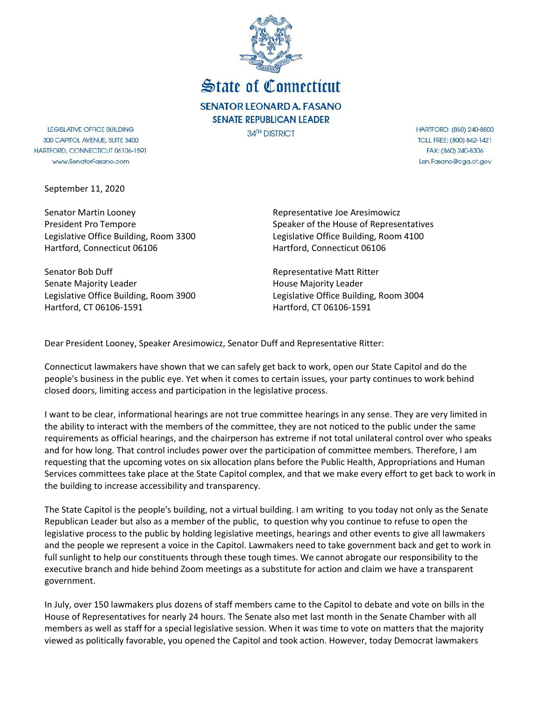

State of Connecticut **SENATOR LEONARD A. FASANO SENATE REPUBLICAN LEADER** 

34<sup>TH</sup> DISTRICT

LEGISLATIVE OFFICE BUILDING 300 CAPITOL AVENUE, SUITE 3400 HARTFORD, CONNECTICUT 06106-1591 www.SenatorFasano.com

September 11, 2020

Senator Martin Looney President Pro Tempore Legislative Office Building, Room 3300 Hartford, Connecticut 06106

Senator Bob Duff Senate Majority Leader Legislative Office Building, Room 3900 Hartford, CT 06106-1591

Representative Joe Aresimowicz Speaker of the House of Representatives Legislative Office Building, Room 4100 Hartford, Connecticut 06106

Representative Matt Ritter House Majority Leader Legislative Office Building, Room 3004 Hartford, CT 06106-1591

Dear President Looney, Speaker Aresimowicz, Senator Duff and Representative Ritter:

Connecticut lawmakers have shown that we can safely get back to work, open our State Capitol and do the people's business in the public eye. Yet when it comes to certain issues, your party continues to work behind closed doors, limiting access and participation in the legislative process.

I want to be clear, informational hearings are not true committee hearings in any sense. They are very limited in the ability to interact with the members of the committee, they are not noticed to the public under the same requirements as official hearings, and the chairperson has extreme if not total unilateral control over who speaks and for how long. That control includes power over the participation of committee members. Therefore, I am requesting that the upcoming votes on six allocation plans before the Public Health, Appropriations and Human Services committees take place at the State Capitol complex, and that we make every effort to get back to work in the building to increase accessibility and transparency.

The State Capitol is the people's building, not a virtual building. I am writing to you today not only as the Senate Republican Leader but also as a member of the public, to question why you continue to refuse to open the legislative process to the public by holding legislative meetings, hearings and other events to give all lawmakers and the people we represent a voice in the Capitol. Lawmakers need to take government back and get to work in full sunlight to help our constituents through these tough times. We cannot abrogate our responsibility to the executive branch and hide behind Zoom meetings as a substitute for action and claim we have a transparent government.

In July, over 150 lawmakers plus dozens of staff members came to the Capitol to debate and vote on bills in the House of Representatives for nearly 24 hours. The Senate also met last month in the Senate Chamber with all members as well as staff for a special legislative session. When it was time to vote on matters that the majority viewed as politically favorable, you opened the Capitol and took action. However, today Democrat lawmakers

HARTFORD: (860) 240-8800 TOLL FREE: (800) 842-1421 FAX: (860) 240-8306 Len.Fasano@cga.ct.gov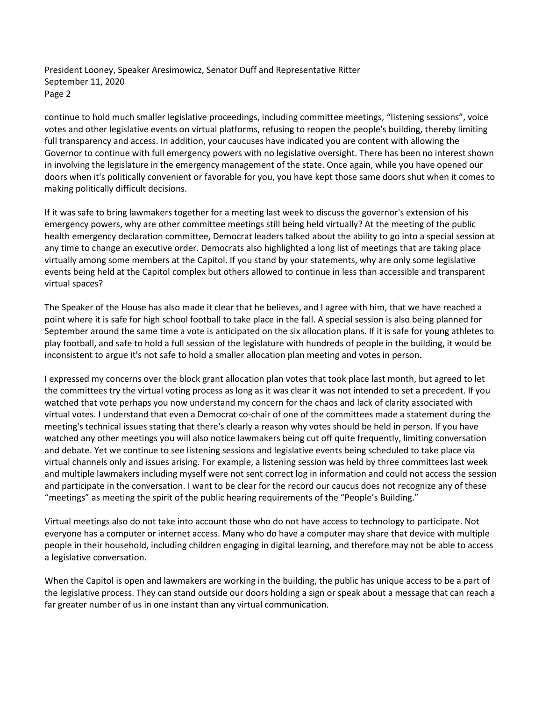President Looney, Speaker Aresimowicz, Senator Duff and Representative Ritter September 11, 2020 Page 2

continue to hold much smaller legislative proceedings, including committee meetings, "listening sessions", voice votes and other legislative events on virtual platforms, refusing to reopen the people's building, thereby limiting full transparency and access. In addition, your caucuses have indicated you are content with allowing the Governor to continue with full emergency powers with no legislative oversight. There has been no interest shown in involving the legislature in the emergency management of the state. Once again, while you have opened our doors when it's politically convenient or favorable for you, you have kept those same doors shut when it comes to making politically difficult decisions.

If it was safe to bring lawmakers together for a meeting last week to discuss the governor's extension of his emergency powers, why are other committee meetings still being held virtually? At the meeting of the public health emergency declaration committee, Democrat leaders talked about the ability to go into a special session at any time to change an executive order. Democrats also highlighted a long list of meetings that are taking place virtually among some members at the Capitol. If you stand by your statements, why are only some legislative events being held at the Capitol complex but others allowed to continue in less than accessible and transparent virtual spaces?

The Speaker of the House has also made it clear that he believes, and I agree with him, that we have reached a point where it is safe for high school football to take place in the fall. A special session is also being planned for September around the same time a vote is anticipated on the six allocation plans. If it is safe for young athletes to play football, and safe to hold a full session of the legislature with hundreds of people in the building, it would be inconsistent to argue it's not safe to hold a smaller allocation plan meeting and votes in person.

I expressed my concerns over the block grant allocation plan votes that took place last month, but agreed to let the committees try the virtual voting process as long as it was clear it was not intended to set a precedent. If you watched that vote perhaps you now understand my concern for the chaos and lack of clarity associated with virtual votes. I understand that even a Democrat co-chair of one of the committees made a statement during the meeting's technical issues stating that there's clearly a reason why votes should be held in person. If you have watched any other meetings you will also notice lawmakers being cut off quite frequently, limiting conversation and debate. Yet we continue to see listening sessions and legislative events being scheduled to take place via virtual channels only and issues arising. For example, a listening session was held by three committees last week and multiple lawmakers including myself were not sent correct log in information and could not access the session and participate in the conversation. I want to be clear for the record our caucus does not recognize any of these "meetings" as meeting the spirit of the public hearing requirements of the "People's Building."

Virtual meetings also do not take into account those who do not have access to technology to participate. Not everyone has a computer or internet access. Many who do have a computer may share that device with multiple people in their household, including children engaging in digital learning, and therefore may not be able to access a legislative conversation.

When the Capitol is open and lawmakers are working in the building, the public has unique access to be a part of the legislative process. They can stand outside our doors holding a sign or speak about a message that can reach a far greater number of us in one instant than any virtual communication.